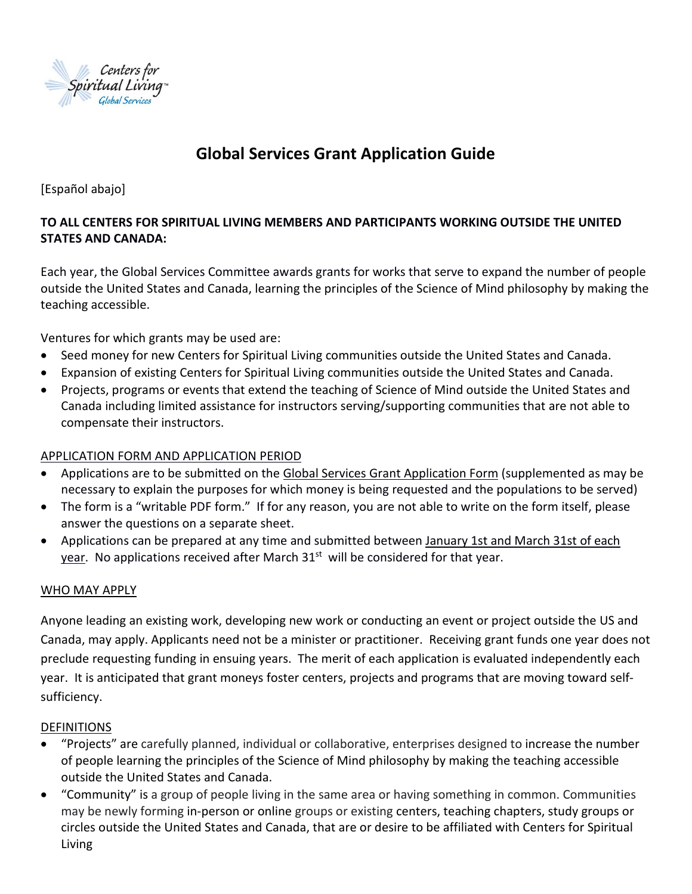

# **Global Services Grant Application Guide**

[Español abajo]

## **TO ALL CENTERS FOR SPIRITUAL LIVING MEMBERS AND PARTICIPANTS WORKING OUTSIDE THE UNITED STATES AND CANADA:**

Each year, the Global Services Committee awards grants for works that serve to expand the number of people outside the United States and Canada, learning the principles of the Science of Mind philosophy by making the teaching accessible.

Ventures for which grants may be used are:

- Seed money for new Centers for Spiritual Living communities outside the United States and Canada.
- Expansion of existing Centers for Spiritual Living communities outside the United States and Canada.
- Projects, programs or events that extend the teaching of Science of Mind outside the United States and Canada including limited assistance for instructors serving/supporting communities that are not able to compensate their instructors.

#### APPLICATION FORM AND APPLICATION PERIOD

- Applications are to be submitted on the Global Services Grant Application Form (supplemented as may be necessary to explain the purposes for which money is being requested and the populations to be served)
- The form is a "writable PDF form." If for any reason, you are not able to write on the form itself, please answer the questions on a separate sheet.
- Applications can be prepared at any time and submitted between January 1st and March 31st of each year. No applications received after March  $31<sup>st</sup>$  will be considered for that year.

#### WHO MAY APPLY

Anyone leading an existing work, developing new work or conducting an event or project outside the US and Canada, may apply. Applicants need not be a minister or practitioner. Receiving grant funds one year does not preclude requesting funding in ensuing years. The merit of each application is evaluated independently each year. It is anticipated that grant moneys foster centers, projects and programs that are moving toward selfsufficiency.

#### **DEFINITIONS**

- "Projects" are carefully planned, individual or collaborative, enterprises designed to increase the number of people learning the principles of the Science of Mind philosophy by making the teaching accessible outside the United States and Canada.
- "Community" is a group of people living in the same area or having something in common. Communities may be newly forming in-person or online groups or existing centers, teaching chapters, study groups or circles outside the United States and Canada, that are or desire to be affiliated with Centers for Spiritual Living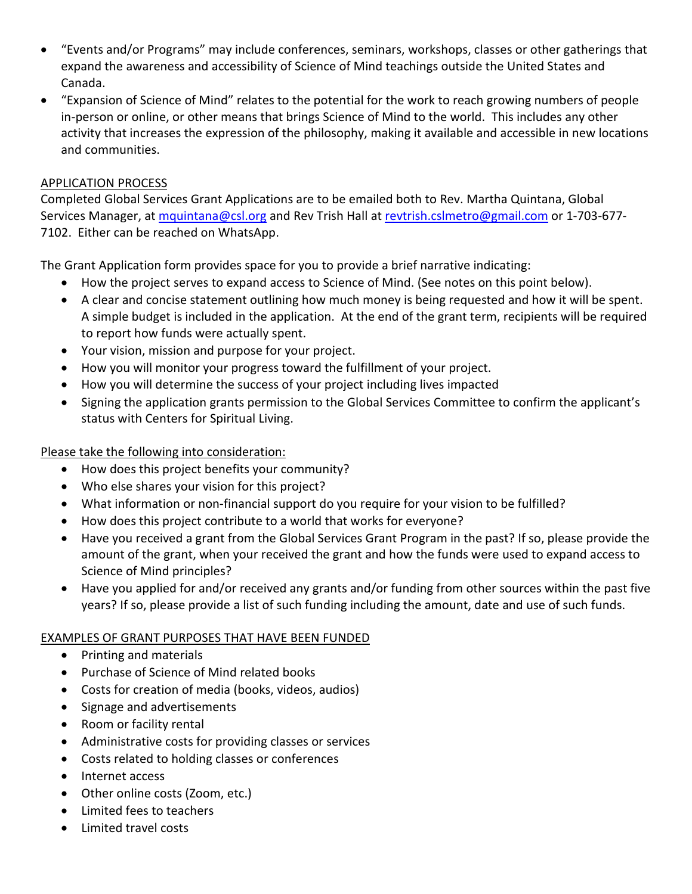- "Events and/or Programs" may include conferences, seminars, workshops, classes or other gatherings that expand the awareness and accessibility of Science of Mind teachings outside the United States and Canada.
- "Expansion of Science of Mind" relates to the potential for the work to reach growing numbers of people in-person or online, or other means that brings Science of Mind to the world. This includes any other activity that increases the expression of the philosophy, making it available and accessible in new locations and communities.

#### APPLICATION PROCESS

Completed Global Services Grant Applications are to be emailed both to Rev. Martha Quintana, Global Services Manager, at [mquintana@csl.org](mailto:mquintana@csl.org) and Rev Trish Hall a[t revtrish.cslmetro@gmail.com](mailto:revtrish.cslmetro@gmail.com) or 1-703-677-7102. Either can be reached on WhatsApp.

The Grant Application form provides space for you to provide a brief narrative indicating:

- How the project serves to expand access to Science of Mind. (See notes on this point below).
- A clear and concise statement outlining how much money is being requested and how it will be spent. A simple budget is included in the application. At the end of the grant term, recipients will be required to report how funds were actually spent.
- Your vision, mission and purpose for your project.
- How you will monitor your progress toward the fulfillment of your project.
- How you will determine the success of your project including lives impacted
- Signing the application grants permission to the Global Services Committee to confirm the applicant's status with Centers for Spiritual Living.

#### Please take the following into consideration:

- How does this project benefits your community?
- Who else shares your vision for this project?
- What information or non-financial support do you require for your vision to be fulfilled?
- How does this project contribute to a world that works for everyone?
- Have you received a grant from the Global Services Grant Program in the past? If so, please provide the amount of the grant, when your received the grant and how the funds were used to expand access to Science of Mind principles?
- Have you applied for and/or received any grants and/or funding from other sources within the past five years? If so, please provide a list of such funding including the amount, date and use of such funds.

#### EXAMPLES OF GRANT PURPOSES THAT HAVE BEEN FUNDED

- Printing and materials
- Purchase of Science of Mind related books
- Costs for creation of media (books, videos, audios)
- Signage and advertisements
- Room or facility rental
- Administrative costs for providing classes or services
- Costs related to holding classes or conferences
- Internet access
- Other online costs (Zoom, etc.)
- Limited fees to teachers
- Limited travel costs